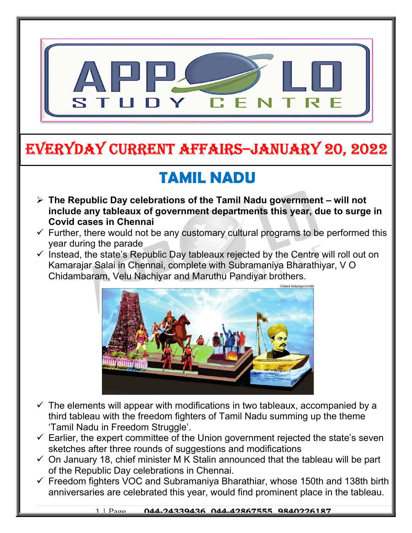

## EVERYDAY CURRENT AFFAIRS–JANUARY 20, 2022

## TAMIL NADU

-

- $\triangleright$  The Republic Day celebrations of the Tamil Nadu government will not include any tableaux of government departments this year, due to surge in Covid cases in Chennai
- $\checkmark$  Further, there would not be any customary cultural programs to be performed this year during the parade
- $\checkmark$  Instead, the state's Republic Day tableaux rejected by the Centre will roll out on Kamarajar Salai in Chennai, complete with Subramaniya Bharathiyar, V O Chidambaram, Velu Nachiyar and Maruthu Pandiyar brothers.



- $\checkmark$  The elements will appear with modifications in two tableaux, accompanied by a third tableau with the freedom fighters of Tamil Nadu summing up the theme 'Tamil Nadu in Freedom Struggle'.
- $\checkmark$  Earlier, the expert committee of the Union government rejected the state's seven sketches after three rounds of suggestions and modifications
- $\checkmark$  On January 18, chief minister M K Stalin announced that the tableau will be part of the Republic Day celebrations in Chennai.
- $\checkmark$  Freedom fighters VOC and Subramaniya Bharathiar, whose 150th and 138th birth anniversaries are celebrated this year, would find prominent place in the tableau.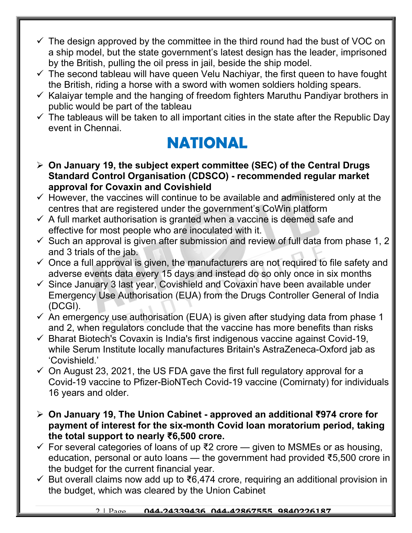- $\checkmark$  The design approved by the committee in the third round had the bust of VOC on a ship model, but the state government's latest design has the leader, imprisoned by the British, pulling the oil press in jail, beside the ship model.
- $\checkmark$  The second tableau will have queen Velu Nachiyar, the first queen to have fought the British, riding a horse with a sword with women soldiers holding spears.
- $\checkmark$  Kalaiyar temple and the hanging of freedom fighters Maruthu Pandiyar brothers in public would be part of the tableau
- $\checkmark$  The tableaus will be taken to all important cities in the state after the Republic Day event in Chennai.

## NATIONAL

- $\geq$  On January 19, the subject expert committee (SEC) of the Central Drugs Standard Control Organisation (CDSCO) - recommended regular market approval for Covaxin and Covishield
- $\checkmark$  However, the vaccines will continue to be available and administered only at the centres that are registered under the government's CoWin platform
- $\checkmark$  A full market authorisation is granted when a vaccine is deemed safe and effective for most people who are inoculated with it.
- $\checkmark$  Such an approval is given after submission and review of full data from phase 1, 2 and 3 trials of the jab.
- $\checkmark$  Once a full approval is given, the manufacturers are not required to file safety and adverse events data every 15 days and instead do so only once in six months
- $\checkmark$  Since January 3 last year, Covishield and Covaxin have been available under Emergency Use Authorisation (EUA) from the Drugs Controller General of India (DCGI).
- $\checkmark$  An emergency use authorisation (EUA) is given after studying data from phase 1 and 2, when regulators conclude that the vaccine has more benefits than risks
- $\checkmark$  Bharat Biotech's Covaxin is India's first indigenous vaccine against Covid-19, while Serum Institute locally manufactures Britain's AstraZeneca-Oxford jab as 'Covishield.'
- $\checkmark$  On August 23, 2021, the US FDA gave the first full regulatory approval for a Covid-19 vaccine to Pfizer-BioNTech Covid-19 vaccine (Comirnaty) for individuals 16 years and older.
- On January 19, The Union Cabinet approved an additional ₹974 crore for payment of interest for the six-month Covid loan moratorium period, taking the total support to nearly ₹6,500 crore.
- For several categories of loans of up ₹2 crore given to MSMEs or as housing, education, personal or auto loans — the government had provided ₹5,500 crore in the budget for the current financial year.
- But overall claims now add up to ₹6,474 crore, requiring an additional provision in the budget, which was cleared by the Union Cabinet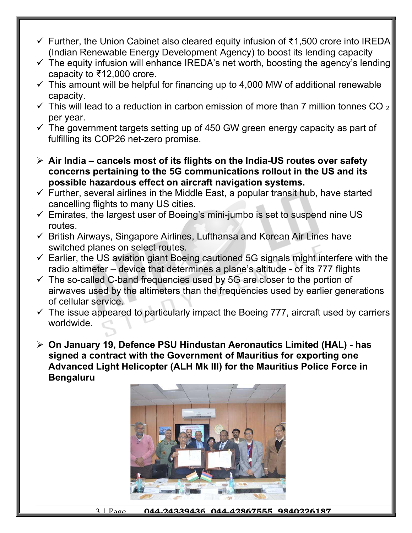- Further, the Union Cabinet also cleared equity infusion of ₹1,500 crore into IREDA (Indian Renewable Energy Development Agency) to boost its lending capacity
- $\checkmark$  The equity infusion will enhance IREDA's net worth, boosting the agency's lending capacity to ₹12,000 crore.
- $\checkmark$  This amount will be helpful for financing up to 4,000 MW of additional renewable capacity.
- $\checkmark$  This will lead to a reduction in carbon emission of more than 7 million tonnes CO  $_2$ per year.
- $\checkmark$  The government targets setting up of 450 GW green energy capacity as part of fulfilling its COP26 net-zero promise.
- $\triangleright$  Air India cancels most of its flights on the India-US routes over safety concerns pertaining to the 5G communications rollout in the US and its possible hazardous effect on aircraft navigation systems.
- $\checkmark$  Further, several airlines in the Middle East, a popular transit hub, have started cancelling flights to many US cities.
- $\checkmark$  Emirates, the largest user of Boeing's mini-jumbo is set to suspend nine US routes.
- $\checkmark$  British Airways, Singapore Airlines, Lufthansa and Korean Air Lines have switched planes on select routes.
- $\checkmark$  Earlier, the US aviation giant Boeing cautioned 5G signals might interfere with the radio altimeter – device that determines a plane's altitude - of its 777 flights
- $\checkmark$  The so-called C-band frequencies used by 5G are closer to the portion of airwaves used by the altimeters than the frequencies used by earlier generations of cellular service.
- $\checkmark$  The issue appeared to particularly impact the Boeing 777, aircraft used by carriers worldwide.
- On January 19, Defence PSU Hindustan Aeronautics Limited (HAL) has signed a contract with the Government of Mauritius for exporting one Advanced Light Helicopter (ALH Mk III) for the Mauritius Police Force in Bengaluru



3 | Page 044.24339436 044.42867555 9840226187